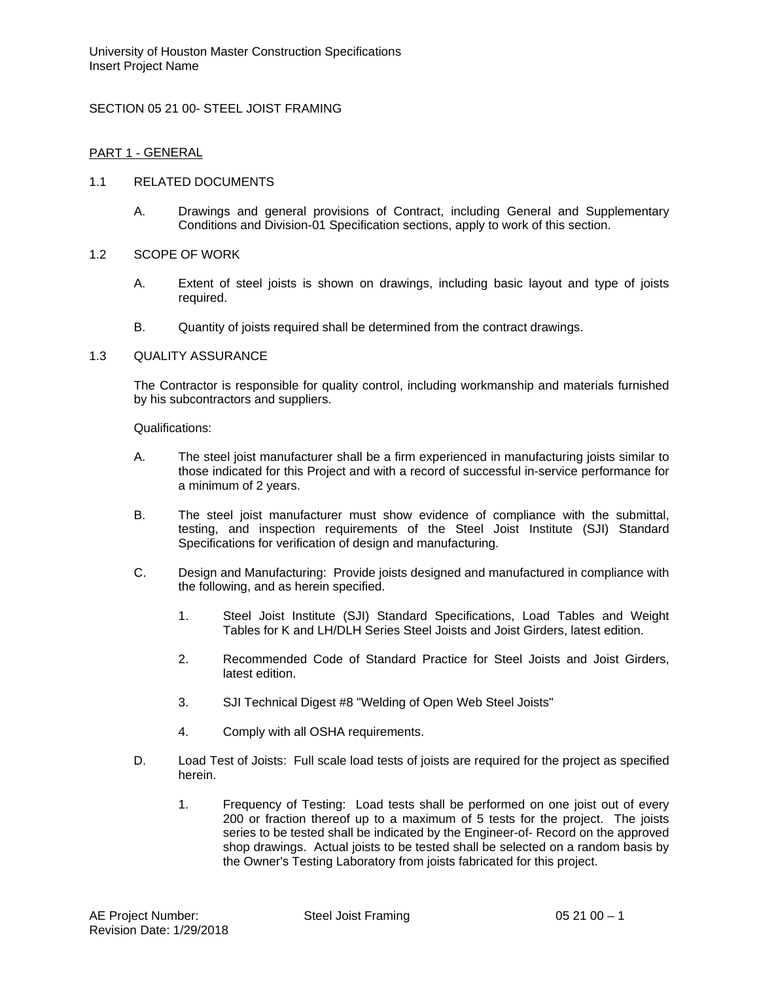# SECTION 05 21 00- STEEL JOIST FRAMING

## PART 1 - GENERAL

### 1.1 RELATED DOCUMENTS

A. Drawings and general provisions of Contract, including General and Supplementary Conditions and Division-01 Specification sections, apply to work of this section.

#### 1.2 SCOPE OF WORK

- A. Extent of steel joists is shown on drawings, including basic layout and type of joists required.
- B. Quantity of joists required shall be determined from the contract drawings.

### 1.3 QUALITY ASSURANCE

The Contractor is responsible for quality control, including workmanship and materials furnished by his subcontractors and suppliers.

Qualifications:

- A. The steel joist manufacturer shall be a firm experienced in manufacturing joists similar to those indicated for this Project and with a record of successful in-service performance for a minimum of 2 years.
- B. The steel joist manufacturer must show evidence of compliance with the submittal, testing, and inspection requirements of the Steel Joist Institute (SJI) Standard Specifications for verification of design and manufacturing.
- C. Design and Manufacturing: Provide joists designed and manufactured in compliance with the following, and as herein specified.
	- 1. Steel Joist Institute (SJI) Standard Specifications, Load Tables and Weight Tables for K and LH/DLH Series Steel Joists and Joist Girders, latest edition.
	- 2. Recommended Code of Standard Practice for Steel Joists and Joist Girders, latest edition.
	- 3. SJI Technical Digest #8 "Welding of Open Web Steel Joists"
	- 4. Comply with all OSHA requirements.
- D. Load Test of Joists: Full scale load tests of joists are required for the project as specified herein.
	- 1. Frequency of Testing: Load tests shall be performed on one joist out of every 200 or fraction thereof up to a maximum of 5 tests for the project. The joists series to be tested shall be indicated by the Engineer-of- Record on the approved shop drawings. Actual joists to be tested shall be selected on a random basis by the Owner's Testing Laboratory from joists fabricated for this project.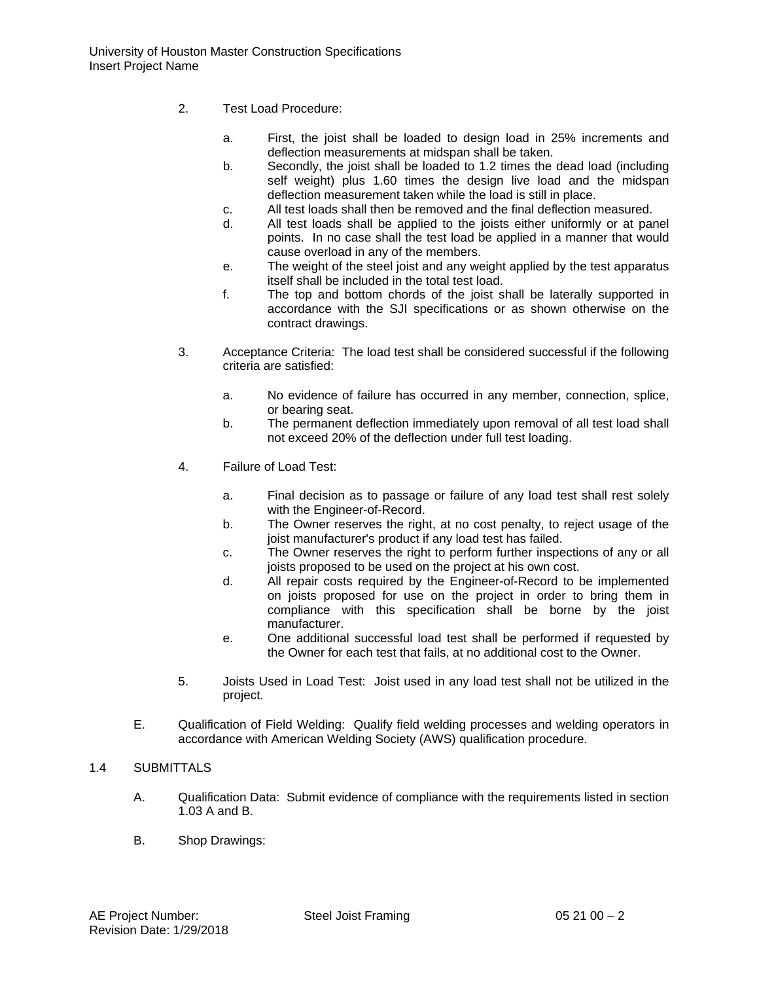- 2. Test Load Procedure:
	- a. First, the joist shall be loaded to design load in 25% increments and deflection measurements at midspan shall be taken.
	- b. Secondly, the joist shall be loaded to 1.2 times the dead load (including self weight) plus 1.60 times the design live load and the midspan deflection measurement taken while the load is still in place.
	- c. All test loads shall then be removed and the final deflection measured.
	- d. All test loads shall be applied to the joists either uniformly or at panel points. In no case shall the test load be applied in a manner that would cause overload in any of the members.
	- e. The weight of the steel joist and any weight applied by the test apparatus itself shall be included in the total test load.
	- f. The top and bottom chords of the joist shall be laterally supported in accordance with the SJI specifications or as shown otherwise on the contract drawings.
- 3. Acceptance Criteria: The load test shall be considered successful if the following criteria are satisfied:
	- a. No evidence of failure has occurred in any member, connection, splice, or bearing seat.
	- b. The permanent deflection immediately upon removal of all test load shall not exceed 20% of the deflection under full test loading.
- 4. Failure of Load Test:
	- a. Final decision as to passage or failure of any load test shall rest solely with the Engineer-of-Record.
	- b. The Owner reserves the right, at no cost penalty, to reject usage of the joist manufacturer's product if any load test has failed.
	- c. The Owner reserves the right to perform further inspections of any or all joists proposed to be used on the project at his own cost.
	- d. All repair costs required by the Engineer-of-Record to be implemented on joists proposed for use on the project in order to bring them in compliance with this specification shall be borne by the joist manufacturer.
	- e. One additional successful load test shall be performed if requested by the Owner for each test that fails, at no additional cost to the Owner.
- 5. Joists Used in Load Test: Joist used in any load test shall not be utilized in the project.
- E. Qualification of Field Welding: Qualify field welding processes and welding operators in accordance with American Welding Society (AWS) qualification procedure.

# 1.4 SUBMITTALS

- A. Qualification Data: Submit evidence of compliance with the requirements listed in section 1.03 A and B.
- B. Shop Drawings: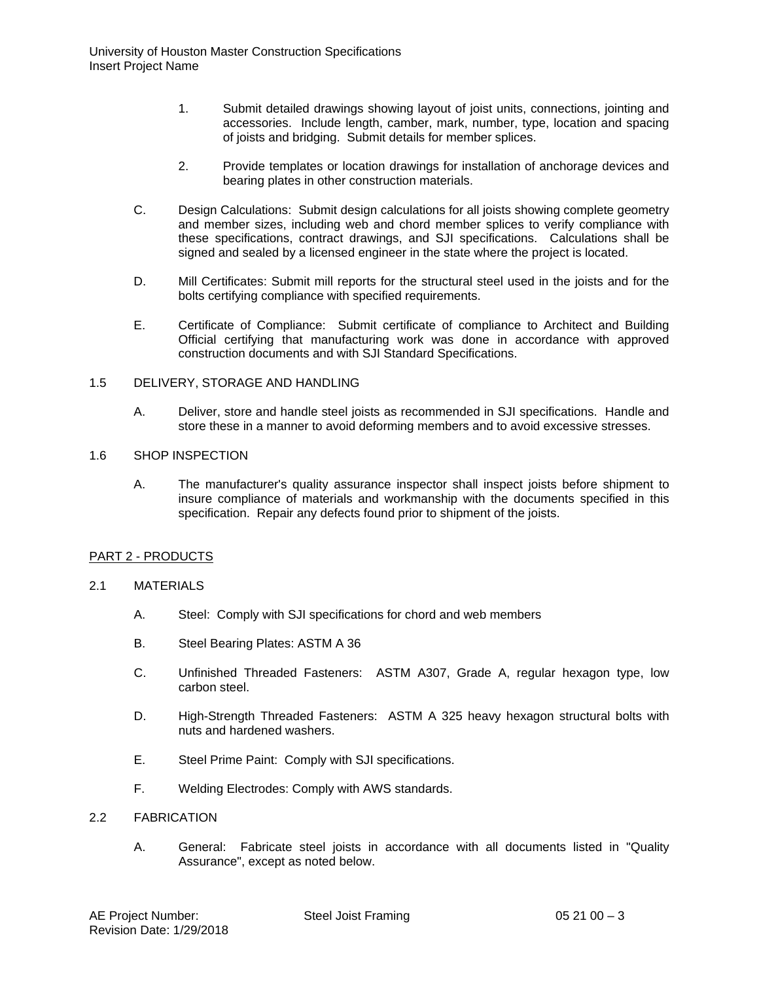- 1. Submit detailed drawings showing layout of joist units, connections, jointing and accessories. Include length, camber, mark, number, type, location and spacing of joists and bridging. Submit details for member splices.
- 2. Provide templates or location drawings for installation of anchorage devices and bearing plates in other construction materials.
- C. Design Calculations: Submit design calculations for all joists showing complete geometry and member sizes, including web and chord member splices to verify compliance with these specifications, contract drawings, and SJI specifications. Calculations shall be signed and sealed by a licensed engineer in the state where the project is located.
- D. Mill Certificates: Submit mill reports for the structural steel used in the joists and for the bolts certifying compliance with specified requirements.
- E. Certificate of Compliance: Submit certificate of compliance to Architect and Building Official certifying that manufacturing work was done in accordance with approved construction documents and with SJI Standard Specifications.

### 1.5 DELIVERY, STORAGE AND HANDLING

A. Deliver, store and handle steel joists as recommended in SJI specifications. Handle and store these in a manner to avoid deforming members and to avoid excessive stresses.

#### 1.6 SHOP INSPECTION

A. The manufacturer's quality assurance inspector shall inspect joists before shipment to insure compliance of materials and workmanship with the documents specified in this specification. Repair any defects found prior to shipment of the joists.

# PART 2 - PRODUCTS

#### 2.1 MATERIALS

- A. Steel: Comply with SJI specifications for chord and web members
- B. Steel Bearing Plates: ASTM A 36
- C. Unfinished Threaded Fasteners: ASTM A307, Grade A, regular hexagon type, low carbon steel.
- D. High-Strength Threaded Fasteners: ASTM A 325 heavy hexagon structural bolts with nuts and hardened washers.
- E. Steel Prime Paint: Comply with SJI specifications.
- F. Welding Electrodes: Comply with AWS standards.

### 2.2 FABRICATION

A. General: Fabricate steel joists in accordance with all documents listed in "Quality Assurance", except as noted below.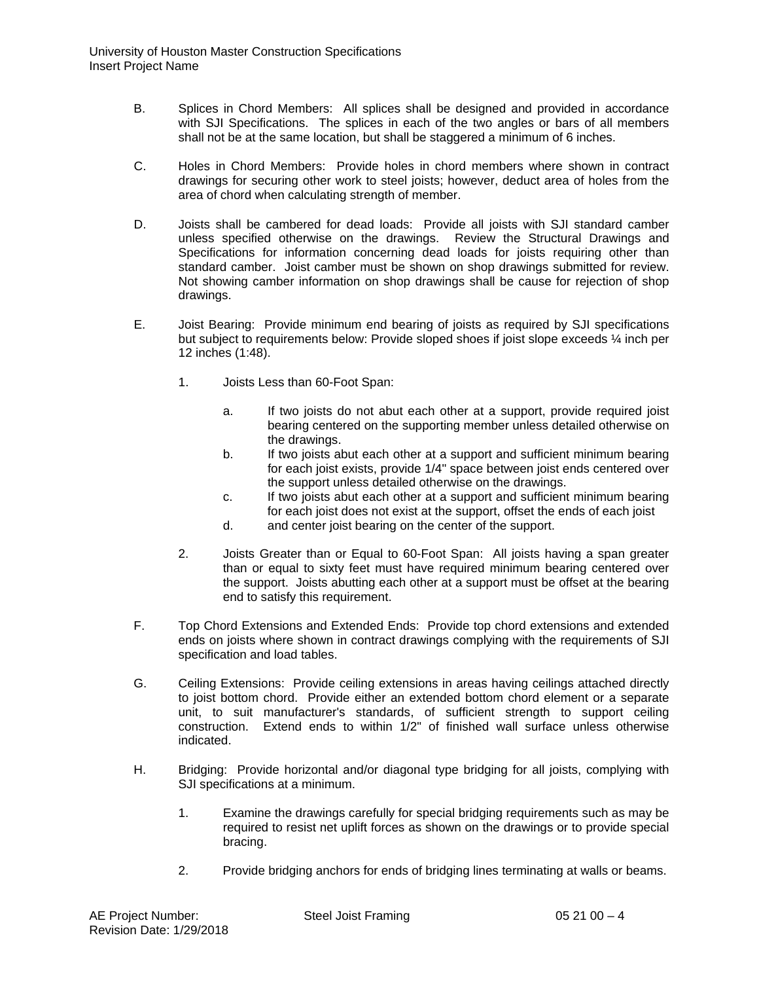- B. Splices in Chord Members: All splices shall be designed and provided in accordance with SJI Specifications. The splices in each of the two angles or bars of all members shall not be at the same location, but shall be staggered a minimum of 6 inches.
- C. Holes in Chord Members: Provide holes in chord members where shown in contract drawings for securing other work to steel joists; however, deduct area of holes from the area of chord when calculating strength of member.
- D. Joists shall be cambered for dead loads: Provide all joists with SJI standard camber unless specified otherwise on the drawings. Review the Structural Drawings and Specifications for information concerning dead loads for joists requiring other than standard camber. Joist camber must be shown on shop drawings submitted for review. Not showing camber information on shop drawings shall be cause for rejection of shop drawings.
- E. Joist Bearing: Provide minimum end bearing of joists as required by SJI specifications but subject to requirements below: Provide sloped shoes if joist slope exceeds ¼ inch per 12 inches (1:48).
	- 1. Joists Less than 60-Foot Span:
		- a. If two joists do not abut each other at a support, provide required joist bearing centered on the supporting member unless detailed otherwise on the drawings.
		- b. If two joists abut each other at a support and sufficient minimum bearing for each joist exists, provide 1/4" space between joist ends centered over the support unless detailed otherwise on the drawings.
		- c. If two joists abut each other at a support and sufficient minimum bearing for each joist does not exist at the support, offset the ends of each joist
		- d. and center joist bearing on the center of the support.
	- 2. Joists Greater than or Equal to 60-Foot Span: All joists having a span greater than or equal to sixty feet must have required minimum bearing centered over the support. Joists abutting each other at a support must be offset at the bearing end to satisfy this requirement.
- F. Top Chord Extensions and Extended Ends: Provide top chord extensions and extended ends on joists where shown in contract drawings complying with the requirements of SJI specification and load tables.
- G. Ceiling Extensions: Provide ceiling extensions in areas having ceilings attached directly to joist bottom chord. Provide either an extended bottom chord element or a separate unit, to suit manufacturer's standards, of sufficient strength to support ceiling construction. Extend ends to within 1/2" of finished wall surface unless otherwise indicated.
- H. Bridging: Provide horizontal and/or diagonal type bridging for all joists, complying with SJI specifications at a minimum.
	- 1. Examine the drawings carefully for special bridging requirements such as may be required to resist net uplift forces as shown on the drawings or to provide special bracing.
	- 2. Provide bridging anchors for ends of bridging lines terminating at walls or beams.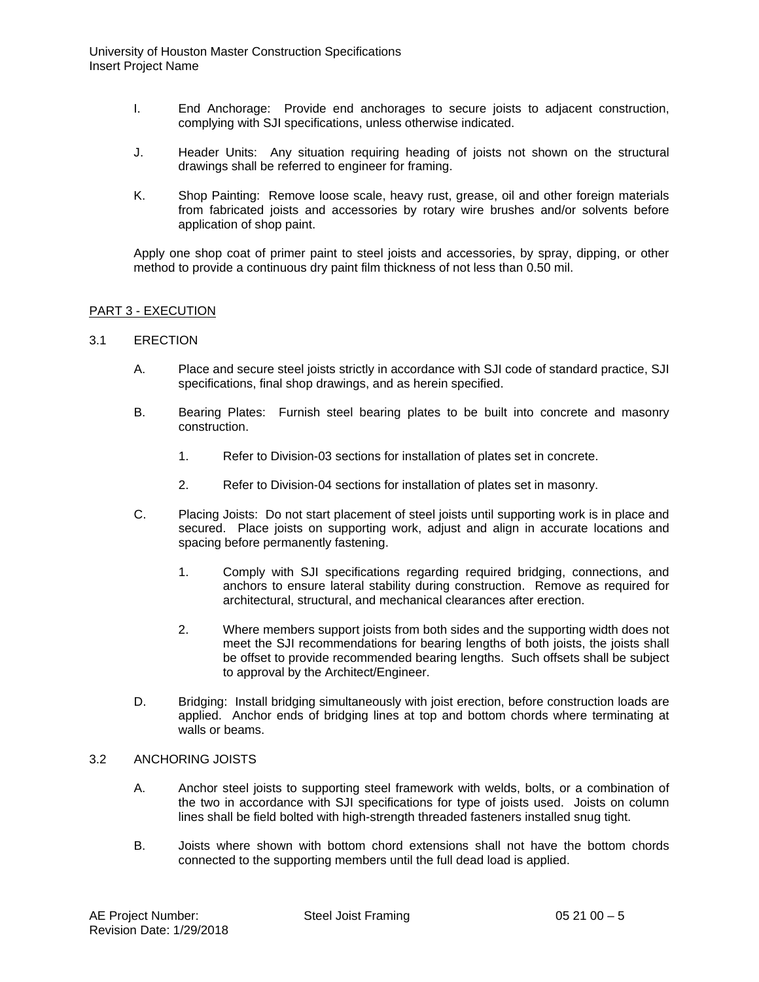- I. End Anchorage: Provide end anchorages to secure joists to adjacent construction, complying with SJI specifications, unless otherwise indicated.
- J. Header Units: Any situation requiring heading of joists not shown on the structural drawings shall be referred to engineer for framing.
- K. Shop Painting: Remove loose scale, heavy rust, grease, oil and other foreign materials from fabricated joists and accessories by rotary wire brushes and/or solvents before application of shop paint.

Apply one shop coat of primer paint to steel joists and accessories, by spray, dipping, or other method to provide a continuous dry paint film thickness of not less than 0.50 mil.

### PART 3 - EXECUTION

#### 3.1 ERECTION

- A. Place and secure steel joists strictly in accordance with SJI code of standard practice, SJI specifications, final shop drawings, and as herein specified.
- B. Bearing Plates: Furnish steel bearing plates to be built into concrete and masonry construction.
	- 1. Refer to Division-03 sections for installation of plates set in concrete.
	- 2. Refer to Division-04 sections for installation of plates set in masonry.
- C. Placing Joists: Do not start placement of steel joists until supporting work is in place and secured. Place joists on supporting work, adjust and align in accurate locations and spacing before permanently fastening.
	- 1. Comply with SJI specifications regarding required bridging, connections, and anchors to ensure lateral stability during construction. Remove as required for architectural, structural, and mechanical clearances after erection.
	- 2. Where members support joists from both sides and the supporting width does not meet the SJI recommendations for bearing lengths of both joists, the joists shall be offset to provide recommended bearing lengths. Such offsets shall be subject to approval by the Architect/Engineer.
- D. Bridging: Install bridging simultaneously with joist erection, before construction loads are applied. Anchor ends of bridging lines at top and bottom chords where terminating at walls or beams.

### 3.2 ANCHORING JOISTS

- A. Anchor steel joists to supporting steel framework with welds, bolts, or a combination of the two in accordance with SJI specifications for type of joists used. Joists on column lines shall be field bolted with high-strength threaded fasteners installed snug tight.
- B. Joists where shown with bottom chord extensions shall not have the bottom chords connected to the supporting members until the full dead load is applied.